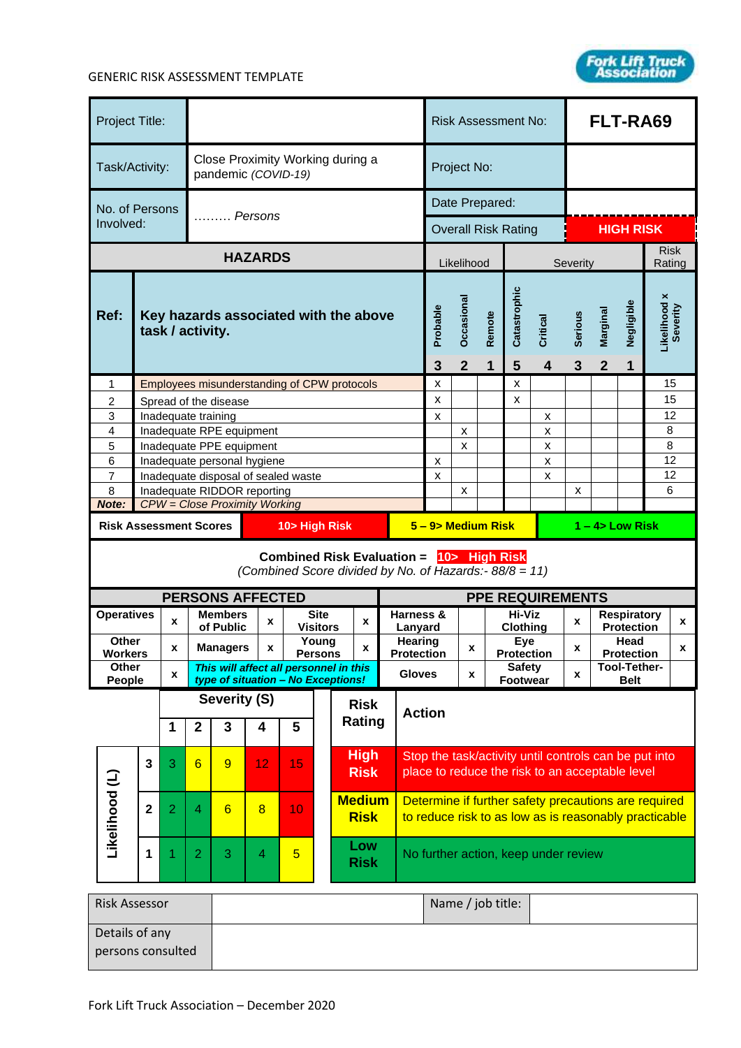

## GENERIC RISK ASSESSMENT TEMPLATE

| Project Title:                                 |                         |                     |                |                                                         |                                        |                                     |                                                 |                                                                                                    |                            |                                                                                                               | <b>Risk Assessment No:</b>           |                           |                                            |                     | FLT-RA69                 |                 |                          |                                         |          |
|------------------------------------------------|-------------------------|---------------------|----------------|---------------------------------------------------------|----------------------------------------|-------------------------------------|-------------------------------------------------|----------------------------------------------------------------------------------------------------|----------------------------|---------------------------------------------------------------------------------------------------------------|--------------------------------------|---------------------------|--------------------------------------------|---------------------|--------------------------|-----------------|--------------------------|-----------------------------------------|----------|
| Task/Activity:                                 |                         |                     |                | Close Proximity Working during a<br>pandemic (COVID-19) |                                        |                                     |                                                 | Project No:                                                                                        |                            |                                                                                                               |                                      |                           |                                            |                     |                          |                 |                          |                                         |          |
| No. of Persons                                 |                         |                     |                |                                                         |                                        |                                     | Date Prepared:                                  |                                                                                                    |                            |                                                                                                               |                                      |                           |                                            |                     |                          |                 |                          |                                         |          |
| Involved:                                      |                         |                     |                | $\ldots$ Persons                                        |                                        |                                     |                                                 |                                                                                                    | <b>Overall Risk Rating</b> |                                                                                                               |                                      |                           | <b>HIGH RISK</b>                           |                     |                          |                 |                          |                                         |          |
| <b>HAZARDS</b>                                 |                         |                     |                |                                                         |                                        |                                     | <b>Risk</b><br>Likelihood<br>Severity<br>Rating |                                                                                                    |                            |                                                                                                               |                                      |                           |                                            |                     |                          |                 |                          |                                         |          |
| Ref:<br>task / activity.                       |                         |                     |                | Key hazards associated with the above                   |                                        |                                     |                                                 |                                                                                                    | Probable<br>3              | Occasional<br>$\overline{2}$                                                                                  | Remote<br>1                          | Catastrophic<br>5         | <b>Critical</b><br>$\overline{\mathbf{4}}$ | <b>Serious</b><br>3 | Marginal<br>$\mathbf{2}$ | Negligible<br>1 | Likelihood x<br>Severity |                                         |          |
| $\mathbf{1}$                                   |                         |                     |                |                                                         |                                        |                                     |                                                 | Employees misunderstanding of CPW protocols                                                        |                            |                                                                                                               | $\pmb{\times}$                       |                           |                                            | X                   |                          |                 |                          |                                         | 15       |
| $\overline{2}$<br>3                            |                         | Inadequate training |                | Spread of the disease                                   |                                        |                                     |                                                 |                                                                                                    |                            |                                                                                                               | $\mathsf{x}$<br>$\mathsf{x}$         |                           |                                            | x                   | x                        |                 |                          |                                         | 15<br>12 |
| 4                                              |                         |                     |                | Inadequate RPE equipment                                |                                        |                                     |                                                 |                                                                                                    |                            |                                                                                                               |                                      | $\boldsymbol{\mathsf{x}}$ |                                            |                     | X                        |                 |                          |                                         | 8        |
| 5                                              |                         |                     |                | Inadequate PPE equipment                                |                                        |                                     |                                                 |                                                                                                    |                            |                                                                                                               |                                      | $\boldsymbol{\mathsf{x}}$ |                                            |                     | X                        |                 |                          |                                         | 8        |
| 6<br>$\overline{7}$                            |                         |                     |                |                                                         | Inadequate personal hygiene            | Inadequate disposal of sealed waste |                                                 |                                                                                                    |                            |                                                                                                               | $\pmb{\times}$<br>$\mathsf{x}$       |                           |                                            |                     | X<br>x                   |                 |                          |                                         | 12<br>12 |
| 8                                              |                         |                     |                |                                                         | Inadequate RIDDOR reporting            |                                     |                                                 |                                                                                                    |                            |                                                                                                               | $\boldsymbol{\mathsf{x}}$            |                           |                                            |                     | x                        |                 |                          | 6                                       |          |
| Note:                                          |                         |                     |                |                                                         | <b>CPW</b> = Close Proximity Working   |                                     |                                                 |                                                                                                    |                            |                                                                                                               |                                      |                           |                                            |                     |                          |                 |                          |                                         |          |
| <b>Risk Assessment Scores</b><br>10> High Risk |                         |                     |                |                                                         | 5 - 9> Medium Risk<br>$1 - 4$ Low Risk |                                     |                                                 |                                                                                                    |                            |                                                                                                               |                                      |                           |                                            |                     |                          |                 |                          |                                         |          |
|                                                |                         |                     |                |                                                         |                                        |                                     |                                                 | Combined Risk Evaluation = 10> High Risk<br>(Combined Score divided by No. of Hazards:- 88/8 = 11) |                            |                                                                                                               |                                      |                           |                                            |                     |                          |                 |                          |                                         |          |
|                                                |                         |                     |                |                                                         | <b>PERSONS AFFECTED</b>                |                                     |                                                 |                                                                                                    |                            |                                                                                                               | <b>PPE REQUIREMENTS</b>              |                           |                                            |                     |                          |                 |                          |                                         |          |
| <b>Operatives</b>                              |                         | X                   |                | <b>Members</b><br>of Public                             | x                                      |                                     | <b>Site</b><br><b>Visitors</b>                  | X                                                                                                  |                            | Harness &<br>Lanyard                                                                                          |                                      |                           |                                            | Hi-Viz<br>Clothing  |                          | X               |                          | <b>Respiratory</b><br><b>Protection</b> | x        |
| Other                                          |                         | x                   |                | <b>Managers</b>                                         | X                                      |                                     | Young                                           | x                                                                                                  |                            | Hearing<br>Eye<br>x<br>x<br>Protection<br>Protection<br><b>Protection</b>                                     |                                      |                           |                                            | Head                | x                        |                 |                          |                                         |          |
|                                                | <b>Workers</b><br>Other |                     |                |                                                         |                                        |                                     | <b>Persons</b>                                  | This will affect all personnel in this                                                             |                            | <b>Gloves</b><br>X                                                                                            |                                      |                           | <b>Safety</b>                              |                     |                          |                 | Tool-Tether-             |                                         |          |
|                                                | x<br>People             |                     |                |                                                         |                                        |                                     |                                                 | type of situation - No Exceptions!                                                                 |                            |                                                                                                               |                                      |                           |                                            | <b>Footwear</b>     |                          | X               |                          | <b>Belt</b>                             |          |
| 1                                              |                         |                     | $\mathbf{2}$   | Severity (S)<br>3                                       | 4                                      | 5                                   |                                                 | <b>Risk</b><br>Rating                                                                              |                            | <b>Action</b>                                                                                                 |                                      |                           |                                            |                     |                          |                 |                          |                                         |          |
|                                                | 3                       | 3                   | 6              | 9                                                       | 12                                     | 15                                  |                                                 | <b>High</b><br><b>Risk</b>                                                                         |                            | Stop the task/activity until controls can be put into<br>place to reduce the risk to an acceptable level      |                                      |                           |                                            |                     |                          |                 |                          |                                         |          |
| Likelihood (L)                                 | $\mathbf{2}$            | $\overline{2}$      | 4              | $6\overline{}$                                          | 8                                      | 10                                  |                                                 | <b>Medium</b><br><b>Risk</b>                                                                       |                            | Determine if further safety precautions are required<br>to reduce risk to as low as is reasonably practicable |                                      |                           |                                            |                     |                          |                 |                          |                                         |          |
|                                                | 1                       | 1                   | $\overline{2}$ | 3                                                       | 4                                      | $5\phantom{.0}$                     |                                                 | Low<br><b>Risk</b>                                                                                 |                            |                                                                                                               | No further action, keep under review |                           |                                            |                     |                          |                 |                          |                                         |          |
| <b>Risk Assessor</b>                           |                         |                     |                |                                                         |                                        |                                     |                                                 |                                                                                                    |                            |                                                                                                               | Name / job title:                    |                           |                                            |                     |                          |                 |                          |                                         |          |
| Details of any<br>persons consulted            |                         |                     |                |                                                         |                                        |                                     |                                                 |                                                                                                    |                            |                                                                                                               |                                      |                           |                                            |                     |                          |                 |                          |                                         |          |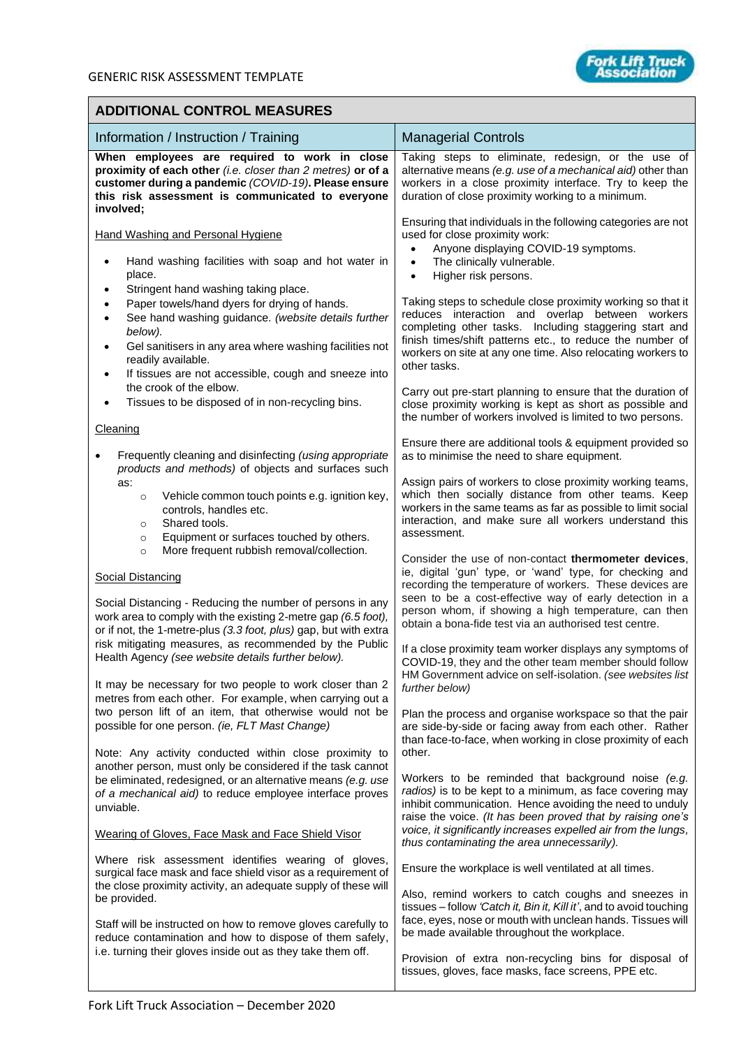## **ADDITIONAL CONTROL MEASURES**

| Information / Instruction / Training                                                                                                                                                                                                                                                                                                                                                | <b>Managerial Controls</b>                                                                                                                                                                                                                                                                                                                                                                                                                                                                                                                                   |  |  |  |  |
|-------------------------------------------------------------------------------------------------------------------------------------------------------------------------------------------------------------------------------------------------------------------------------------------------------------------------------------------------------------------------------------|--------------------------------------------------------------------------------------------------------------------------------------------------------------------------------------------------------------------------------------------------------------------------------------------------------------------------------------------------------------------------------------------------------------------------------------------------------------------------------------------------------------------------------------------------------------|--|--|--|--|
| When employees are required to work in close<br>proximity of each other (i.e. closer than 2 metres) or of a<br>customer during a pandemic (COVID-19). Please ensure<br>this risk assessment is communicated to everyone<br>involved;                                                                                                                                                | Taking steps to eliminate, redesign, or the use of<br>alternative means (e.g. use of a mechanical aid) other than<br>workers in a close proximity interface. Try to keep the<br>duration of close proximity working to a minimum.                                                                                                                                                                                                                                                                                                                            |  |  |  |  |
| <b>Hand Washing and Personal Hygiene</b><br>Hand washing facilities with soap and hot water in<br>place.                                                                                                                                                                                                                                                                            | Ensuring that individuals in the following categories are not<br>used for close proximity work:<br>Anyone displaying COVID-19 symptoms.<br>$\bullet$<br>The clinically vulnerable.<br>$\bullet$<br>Higher risk persons.<br>$\bullet$<br>Taking steps to schedule close proximity working so that it<br>reduces interaction and overlap between workers<br>completing other tasks. Including staggering start and<br>finish times/shift patterns etc., to reduce the number of<br>workers on site at any one time. Also relocating workers to<br>other tasks. |  |  |  |  |
| Stringent hand washing taking place.<br>$\bullet$<br>Paper towels/hand dyers for drying of hands.<br>$\bullet$<br>See hand washing guidance. (website details further<br>$\bullet$<br>below).<br>Gel sanitisers in any area where washing facilities not<br>$\bullet$<br>readily available.<br>If tissues are not accessible, cough and sneeze into<br>٠<br>the crook of the elbow. |                                                                                                                                                                                                                                                                                                                                                                                                                                                                                                                                                              |  |  |  |  |
| Tissues to be disposed of in non-recycling bins.<br>Cleaning                                                                                                                                                                                                                                                                                                                        | Carry out pre-start planning to ensure that the duration of<br>close proximity working is kept as short as possible and<br>the number of workers involved is limited to two persons.                                                                                                                                                                                                                                                                                                                                                                         |  |  |  |  |
| Frequently cleaning and disinfecting (using appropriate                                                                                                                                                                                                                                                                                                                             | Ensure there are additional tools & equipment provided so<br>as to minimise the need to share equipment.                                                                                                                                                                                                                                                                                                                                                                                                                                                     |  |  |  |  |
| products and methods) of objects and surfaces such<br>as:<br>Vehicle common touch points e.g. ignition key,<br>$\circ$<br>controls, handles etc.<br>Shared tools.<br>$\circ$<br>Equipment or surfaces touched by others.<br>$\circ$<br>More frequent rubbish removal/collection.                                                                                                    | Assign pairs of workers to close proximity working teams,<br>which then socially distance from other teams. Keep<br>workers in the same teams as far as possible to limit social<br>interaction, and make sure all workers understand this<br>assessment.                                                                                                                                                                                                                                                                                                    |  |  |  |  |
| $\circ$<br><b>Social Distancing</b><br>Social Distancing - Reducing the number of persons in any<br>work area to comply with the existing 2-metre gap (6.5 foot),<br>or if not, the 1-metre-plus (3.3 foot, plus) gap, but with extra<br>risk mitigating measures, as recommended by the Public                                                                                     | Consider the use of non-contact thermometer devices.<br>ie, digital 'gun' type, or 'wand' type, for checking and<br>recording the temperature of workers. These devices are<br>seen to be a cost-effective way of early detection in a<br>person whom, if showing a high temperature, can then<br>obtain a bona-fide test via an authorised test centre.                                                                                                                                                                                                     |  |  |  |  |
| Health Agency (see website details further below).<br>It may be necessary for two people to work closer than 2                                                                                                                                                                                                                                                                      | If a close proximity team worker displays any symptoms of<br>COVID-19, they and the other team member should follow<br>HM Government advice on self-isolation. (see websites list                                                                                                                                                                                                                                                                                                                                                                            |  |  |  |  |
| metres from each other. For example, when carrying out a<br>two person lift of an item, that otherwise would not be<br>possible for one person. (ie, FLT Mast Change)<br>Note: Any activity conducted within close proximity to                                                                                                                                                     | further below)<br>Plan the process and organise workspace so that the pair<br>are side-by-side or facing away from each other. Rather<br>than face-to-face, when working in close proximity of each<br>other.                                                                                                                                                                                                                                                                                                                                                |  |  |  |  |
| another person, must only be considered if the task cannot<br>be eliminated, redesigned, or an alternative means (e.g. use<br>of a mechanical aid) to reduce employee interface proves<br>unviable.                                                                                                                                                                                 | Workers to be reminded that background noise (e.g.<br>radios) is to be kept to a minimum, as face covering may<br>inhibit communication. Hence avoiding the need to unduly<br>raise the voice. (It has been proved that by raising one's                                                                                                                                                                                                                                                                                                                     |  |  |  |  |
| Wearing of Gloves, Face Mask and Face Shield Visor                                                                                                                                                                                                                                                                                                                                  | voice, it significantly increases expelled air from the lungs,<br>thus contaminating the area unnecessarily).                                                                                                                                                                                                                                                                                                                                                                                                                                                |  |  |  |  |
| Where risk assessment identifies wearing of gloves,<br>surgical face mask and face shield visor as a requirement of<br>the close proximity activity, an adequate supply of these will<br>be provided.                                                                                                                                                                               | Ensure the workplace is well ventilated at all times.<br>Also, remind workers to catch coughs and sneezes in<br>tissues - follow 'Catch it, Bin it, Kill it', and to avoid touching                                                                                                                                                                                                                                                                                                                                                                          |  |  |  |  |
| Staff will be instructed on how to remove gloves carefully to<br>reduce contamination and how to dispose of them safely,<br>i.e. turning their gloves inside out as they take them off.                                                                                                                                                                                             | face, eyes, nose or mouth with unclean hands. Tissues will<br>be made available throughout the workplace.<br>Provision of extra non-recycling bins for disposal of<br>tissues, gloves, face masks, face screens, PPE etc.                                                                                                                                                                                                                                                                                                                                    |  |  |  |  |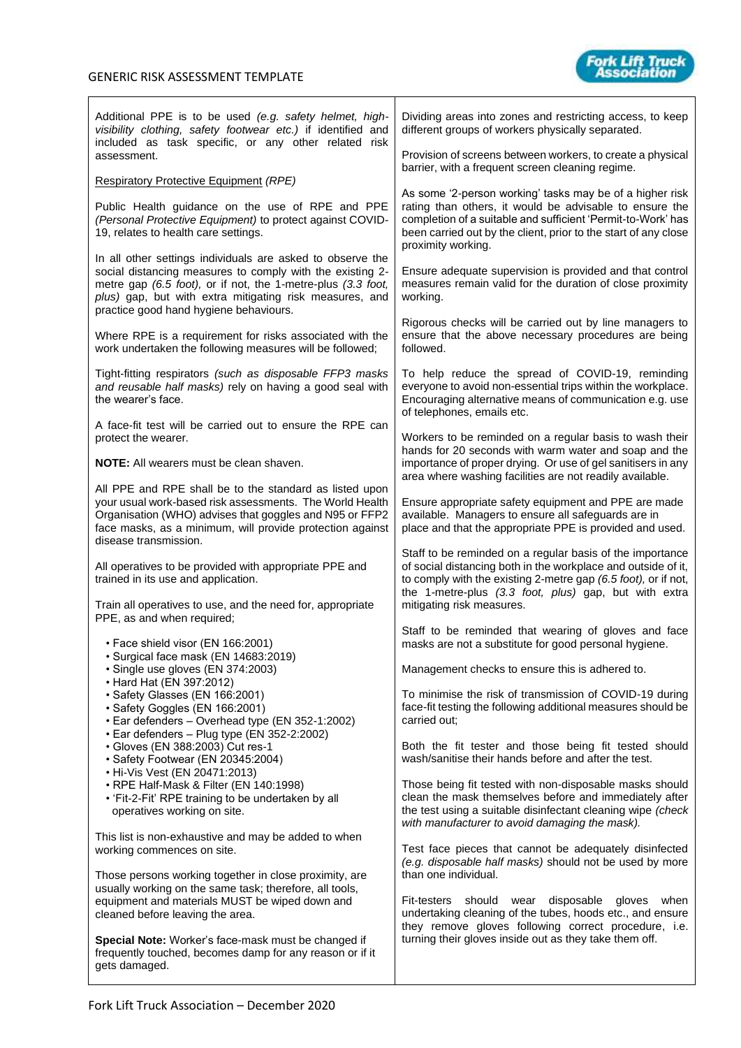

| Additional PPE is to be used (e.g. safety helmet, high-<br>visibility clothing, safety footwear etc.) if identified and<br>included as task specific, or any other related risk                                                                                                              | Dividing areas into zones and restricting access, to keep<br>different groups of workers physically separated.                                                                                                                                                                     |  |  |  |  |
|----------------------------------------------------------------------------------------------------------------------------------------------------------------------------------------------------------------------------------------------------------------------------------------------|------------------------------------------------------------------------------------------------------------------------------------------------------------------------------------------------------------------------------------------------------------------------------------|--|--|--|--|
| assessment.                                                                                                                                                                                                                                                                                  | Provision of screens between workers, to create a physical<br>barrier, with a frequent screen cleaning regime.                                                                                                                                                                     |  |  |  |  |
| <b>Respiratory Protective Equipment (RPE)</b>                                                                                                                                                                                                                                                | As some '2-person working' tasks may be of a higher risk                                                                                                                                                                                                                           |  |  |  |  |
| Public Health guidance on the use of RPE and PPE<br>(Personal Protective Equipment) to protect against COVID-<br>19, relates to health care settings.                                                                                                                                        | rating than others, it would be advisable to ensure the<br>completion of a suitable and sufficient 'Permit-to-Work' has<br>been carried out by the client, prior to the start of any close<br>proximity working.                                                                   |  |  |  |  |
| In all other settings individuals are asked to observe the<br>social distancing measures to comply with the existing 2-<br>metre gap (6.5 foot), or if not, the 1-metre-plus (3.3 foot,<br>plus) gap, but with extra mitigating risk measures, and<br>practice good hand hygiene behaviours. | Ensure adequate supervision is provided and that control<br>measures remain valid for the duration of close proximity<br>working.                                                                                                                                                  |  |  |  |  |
| Where RPE is a requirement for risks associated with the<br>work undertaken the following measures will be followed;                                                                                                                                                                         | Rigorous checks will be carried out by line managers to<br>ensure that the above necessary procedures are being<br>followed.                                                                                                                                                       |  |  |  |  |
| Tight-fitting respirators (such as disposable FFP3 masks<br>and reusable half masks) rely on having a good seal with<br>the wearer's face.                                                                                                                                                   | To help reduce the spread of COVID-19, reminding<br>everyone to avoid non-essential trips within the workplace.<br>Encouraging alternative means of communication e.g. use<br>of telephones, emails etc.                                                                           |  |  |  |  |
| A face-fit test will be carried out to ensure the RPE can<br>protect the wearer.                                                                                                                                                                                                             | Workers to be reminded on a regular basis to wash their                                                                                                                                                                                                                            |  |  |  |  |
| <b>NOTE:</b> All wearers must be clean shaven.                                                                                                                                                                                                                                               | hands for 20 seconds with warm water and soap and the<br>importance of proper drying. Or use of gel sanitisers in any<br>area where washing facilities are not readily available.                                                                                                  |  |  |  |  |
| All PPE and RPE shall be to the standard as listed upon<br>your usual work-based risk assessments. The World Health<br>Organisation (WHO) advises that goggles and N95 or FFP2<br>face masks, as a minimum, will provide protection against<br>disease transmission.                         | Ensure appropriate safety equipment and PPE are made<br>available. Managers to ensure all safeguards are in<br>place and that the appropriate PPE is provided and used.                                                                                                            |  |  |  |  |
| All operatives to be provided with appropriate PPE and<br>trained in its use and application.<br>Train all operatives to use, and the need for, appropriate                                                                                                                                  | Staff to be reminded on a regular basis of the importance<br>of social distancing both in the workplace and outside of it,<br>to comply with the existing 2-metre gap (6.5 foot), or if not,<br>the 1-metre-plus (3.3 foot, plus) gap, but with extra<br>mitigating risk measures. |  |  |  |  |
| PPE, as and when required;                                                                                                                                                                                                                                                                   | Staff to be reminded that wearing of gloves and face                                                                                                                                                                                                                               |  |  |  |  |
| • Face shield visor (EN 166:2001)<br>· Surgical face mask (EN 14683:2019)                                                                                                                                                                                                                    | masks are not a substitute for good personal hygiene.                                                                                                                                                                                                                              |  |  |  |  |
| · Single use gloves (EN 374:2003)<br>• Hard Hat (EN 397:2012)                                                                                                                                                                                                                                | Management checks to ensure this is adhered to.                                                                                                                                                                                                                                    |  |  |  |  |
| · Safety Glasses (EN 166:2001)<br>· Safety Goggles (EN 166:2001)<br>• Ear defenders - Overhead type (EN 352-1:2002)<br>• Ear defenders - Plug type (EN 352-2:2002)                                                                                                                           | To minimise the risk of transmission of COVID-19 during<br>face-fit testing the following additional measures should be<br>carried out;                                                                                                                                            |  |  |  |  |
| • Gloves (EN 388:2003) Cut res-1<br>• Safety Footwear (EN 20345:2004)<br>• Hi-Vis Vest (EN 20471:2013)                                                                                                                                                                                       | Both the fit tester and those being fit tested should<br>wash/sanitise their hands before and after the test.                                                                                                                                                                      |  |  |  |  |
| · RPE Half-Mask & Filter (EN 140:1998)<br>• 'Fit-2-Fit' RPE training to be undertaken by all<br>operatives working on site.                                                                                                                                                                  | Those being fit tested with non-disposable masks should<br>clean the mask themselves before and immediately after<br>the test using a suitable disinfectant cleaning wipe (check<br>with manufacturer to avoid damaging the mask).                                                 |  |  |  |  |
| This list is non-exhaustive and may be added to when<br>working commences on site.                                                                                                                                                                                                           | Test face pieces that cannot be adequately disinfected<br>(e.g. disposable half masks) should not be used by more                                                                                                                                                                  |  |  |  |  |
| Those persons working together in close proximity, are<br>usually working on the same task; therefore, all tools,<br>equipment and materials MUST be wiped down and<br>cleaned before leaving the area.                                                                                      | than one individual.<br>Fit-testers<br>should<br>wear<br>disposable<br>gloves<br>when<br>undertaking cleaning of the tubes, hoods etc., and ensure                                                                                                                                 |  |  |  |  |
| Special Note: Worker's face-mask must be changed if<br>frequently touched, becomes damp for any reason or if it<br>gets damaged.                                                                                                                                                             | they remove gloves following correct procedure, i.e.<br>turning their gloves inside out as they take them off.                                                                                                                                                                     |  |  |  |  |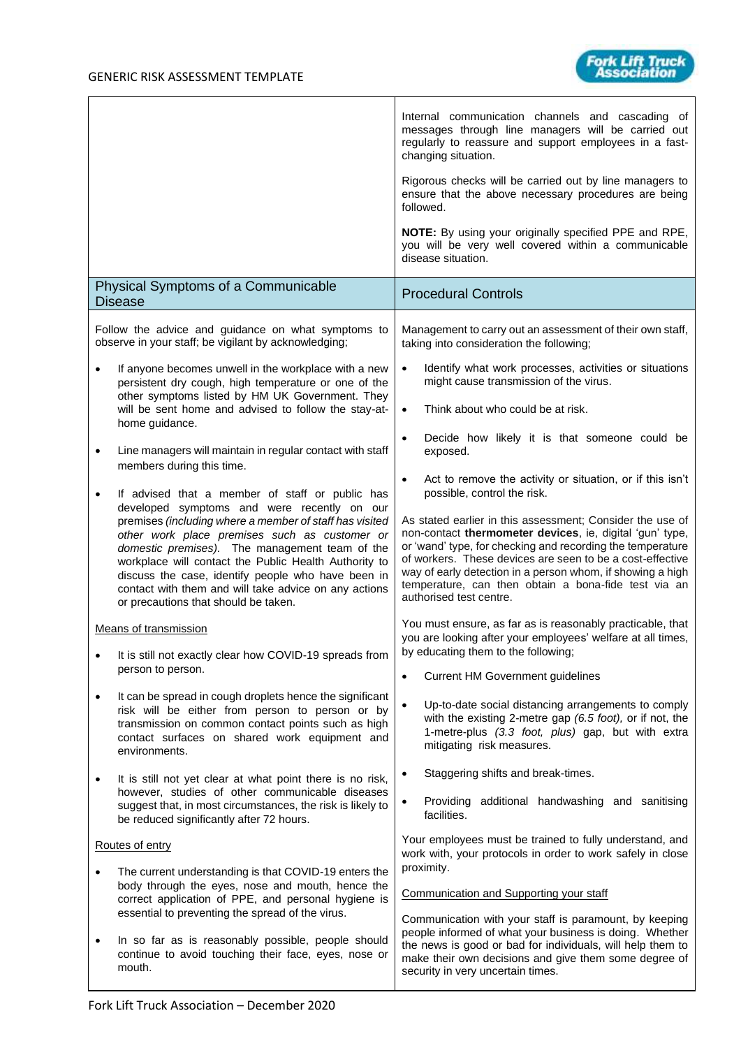

|           |                                                                                                                                                                                                                                                                                                                                                                                                                                                                              | Internal communication channels and cascading of<br>messages through line managers will be carried out<br>regularly to reassure and support employees in a fast-<br>changing situation.<br>Rigorous checks will be carried out by line managers to<br>ensure that the above necessary procedures are being<br>followed.                                                                                                                                                                       |
|-----------|------------------------------------------------------------------------------------------------------------------------------------------------------------------------------------------------------------------------------------------------------------------------------------------------------------------------------------------------------------------------------------------------------------------------------------------------------------------------------|-----------------------------------------------------------------------------------------------------------------------------------------------------------------------------------------------------------------------------------------------------------------------------------------------------------------------------------------------------------------------------------------------------------------------------------------------------------------------------------------------|
|           |                                                                                                                                                                                                                                                                                                                                                                                                                                                                              | NOTE: By using your originally specified PPE and RPE,<br>you will be very well covered within a communicable<br>disease situation.                                                                                                                                                                                                                                                                                                                                                            |
|           | Physical Symptoms of a Communicable<br><b>Disease</b>                                                                                                                                                                                                                                                                                                                                                                                                                        | <b>Procedural Controls</b>                                                                                                                                                                                                                                                                                                                                                                                                                                                                    |
|           | Follow the advice and guidance on what symptoms to<br>observe in your staff; be vigilant by acknowledging;                                                                                                                                                                                                                                                                                                                                                                   | Management to carry out an assessment of their own staff,<br>taking into consideration the following;                                                                                                                                                                                                                                                                                                                                                                                         |
|           | If anyone becomes unwell in the workplace with a new<br>persistent dry cough, high temperature or one of the<br>other symptoms listed by HM UK Government. They<br>will be sent home and advised to follow the stay-at-<br>home guidance.                                                                                                                                                                                                                                    | Identify what work processes, activities or situations<br>might cause transmission of the virus.<br>Think about who could be at risk.<br>$\bullet$                                                                                                                                                                                                                                                                                                                                            |
| ٠         | Line managers will maintain in regular contact with staff<br>members during this time.                                                                                                                                                                                                                                                                                                                                                                                       | Decide how likely it is that someone could be<br>$\bullet$<br>exposed.                                                                                                                                                                                                                                                                                                                                                                                                                        |
|           | If advised that a member of staff or public has<br>developed symptoms and were recently on our<br>premises (including where a member of staff has visited<br>other work place premises such as customer or<br>domestic premises). The management team of the<br>workplace will contact the Public Health Authority to<br>discuss the case, identify people who have been in<br>contact with them and will take advice on any actions<br>or precautions that should be taken. | Act to remove the activity or situation, or if this isn't<br>possible, control the risk.<br>As stated earlier in this assessment; Consider the use of<br>non-contact thermometer devices, ie, digital 'gun' type,<br>or 'wand' type, for checking and recording the temperature<br>of workers. These devices are seen to be a cost-effective<br>way of early detection in a person whom, if showing a high<br>temperature, can then obtain a bona-fide test via an<br>authorised test centre. |
|           | Means of transmission<br>It is still not exactly clear how COVID-19 spreads from                                                                                                                                                                                                                                                                                                                                                                                             | You must ensure, as far as is reasonably practicable, that<br>you are looking after your employees' welfare at all times,<br>by educating them to the following;                                                                                                                                                                                                                                                                                                                              |
| $\bullet$ | person to person.                                                                                                                                                                                                                                                                                                                                                                                                                                                            | <b>Current HM Government guidelines</b>                                                                                                                                                                                                                                                                                                                                                                                                                                                       |
|           | It can be spread in cough droplets hence the significant<br>risk will be either from person to person or by<br>transmission on common contact points such as high<br>contact surfaces on shared work equipment and<br>environments.                                                                                                                                                                                                                                          | Up-to-date social distancing arrangements to comply<br>with the existing 2-metre gap (6.5 foot), or if not, the<br>1-metre-plus (3.3 foot, plus) gap, but with extra<br>mitigating risk measures.                                                                                                                                                                                                                                                                                             |
|           | It is still not yet clear at what point there is no risk,<br>however, studies of other communicable diseases<br>suggest that, in most circumstances, the risk is likely to<br>be reduced significantly after 72 hours.                                                                                                                                                                                                                                                       | Staggering shifts and break-times.<br>Providing additional handwashing and sanitising<br>facilities.                                                                                                                                                                                                                                                                                                                                                                                          |
|           | Routes of entry                                                                                                                                                                                                                                                                                                                                                                                                                                                              | Your employees must be trained to fully understand, and<br>work with, your protocols in order to work safely in close                                                                                                                                                                                                                                                                                                                                                                         |
|           | The current understanding is that COVID-19 enters the<br>body through the eyes, nose and mouth, hence the<br>correct application of PPE, and personal hygiene is<br>essential to preventing the spread of the virus.                                                                                                                                                                                                                                                         | proximity.<br>Communication and Supporting your staff<br>Communication with your staff is paramount, by keeping                                                                                                                                                                                                                                                                                                                                                                               |
|           | In so far as is reasonably possible, people should<br>continue to avoid touching their face, eyes, nose or<br>mouth.                                                                                                                                                                                                                                                                                                                                                         | people informed of what your business is doing. Whether<br>the news is good or bad for individuals, will help them to<br>make their own decisions and give them some degree of<br>security in very uncertain times.                                                                                                                                                                                                                                                                           |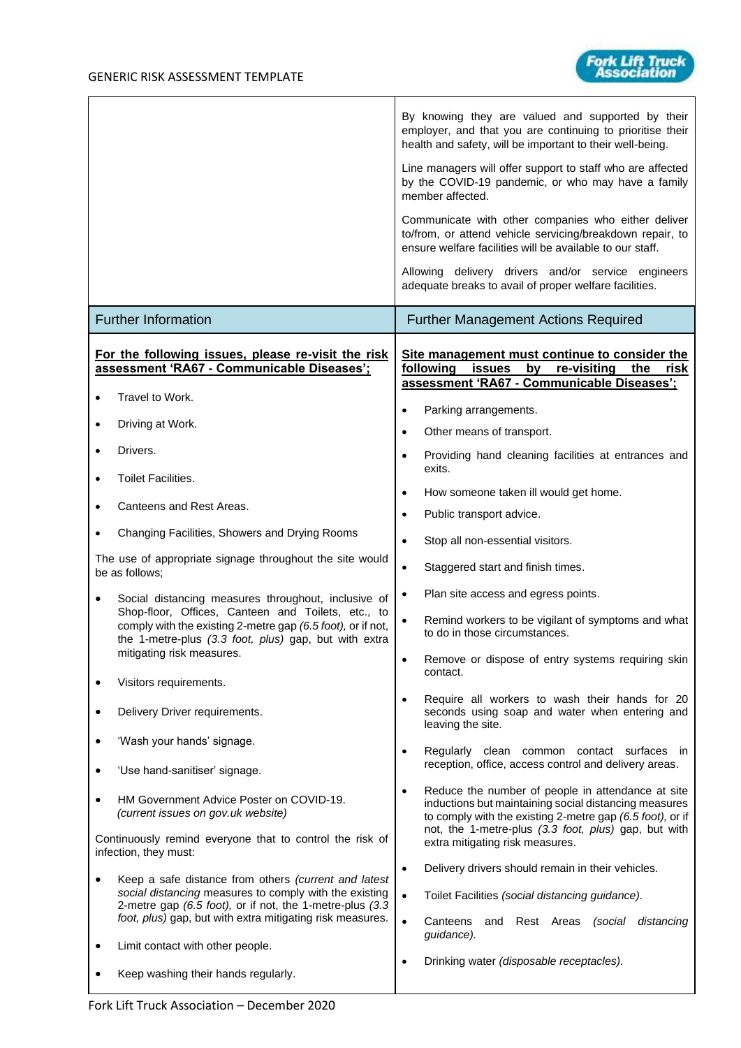

ork Lift Truck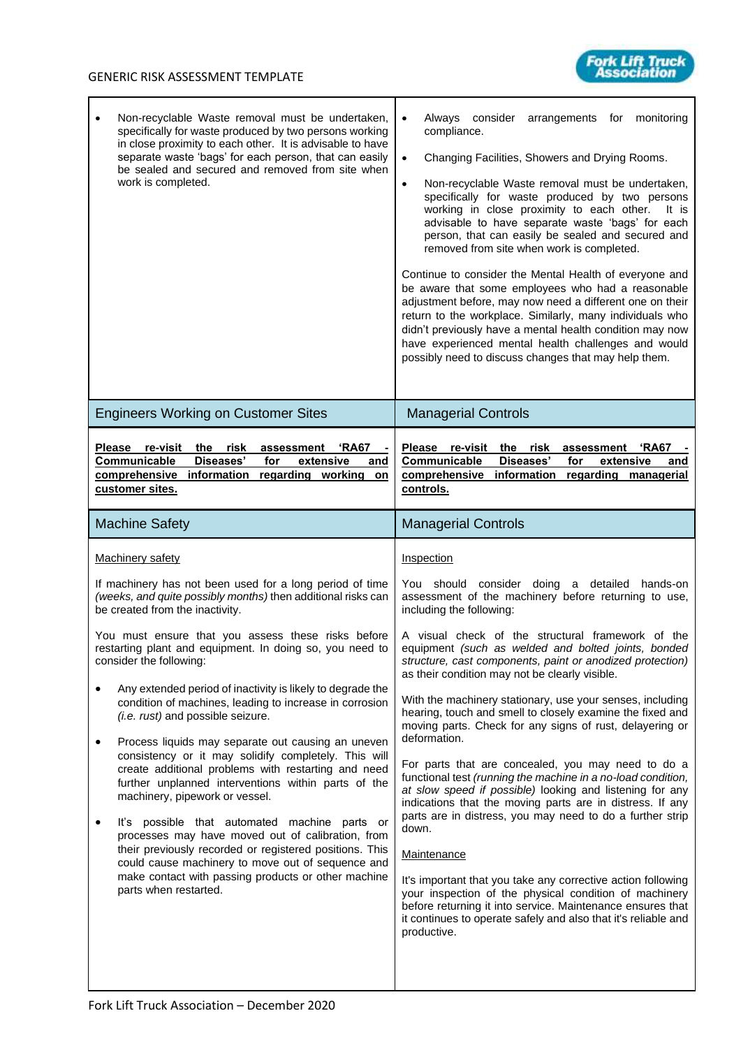

| Non-recyclable Waste removal must be undertaken,<br>$\bullet$<br>specifically for waste produced by two persons working<br>in close proximity to each other. It is advisable to have<br>separate waste 'bags' for each person, that can easily<br>be sealed and secured and removed from site when<br>work is completed.                                                                                                                                                                                                                                                                                                                                                                                                                                                                                                                                                                                                                                                                                                                                                                 | Always<br>consider<br>monitoring<br>arrangements<br>for<br>compliance.<br>Changing Facilities, Showers and Drying Rooms.<br>$\bullet$<br>Non-recyclable Waste removal must be undertaken,<br>$\bullet$<br>specifically for waste produced by two persons<br>working in close proximity to each other.<br>It is<br>advisable to have separate waste 'bags' for each<br>person, that can easily be sealed and secured and<br>removed from site when work is completed.<br>Continue to consider the Mental Health of everyone and<br>be aware that some employees who had a reasonable<br>adjustment before, may now need a different one on their<br>return to the workplace. Similarly, many individuals who<br>didn't previously have a mental health condition may now<br>have experienced mental health challenges and would<br>possibly need to discuss changes that may help them.                                                                                                                                                                                                                                                                                                                  |
|------------------------------------------------------------------------------------------------------------------------------------------------------------------------------------------------------------------------------------------------------------------------------------------------------------------------------------------------------------------------------------------------------------------------------------------------------------------------------------------------------------------------------------------------------------------------------------------------------------------------------------------------------------------------------------------------------------------------------------------------------------------------------------------------------------------------------------------------------------------------------------------------------------------------------------------------------------------------------------------------------------------------------------------------------------------------------------------|---------------------------------------------------------------------------------------------------------------------------------------------------------------------------------------------------------------------------------------------------------------------------------------------------------------------------------------------------------------------------------------------------------------------------------------------------------------------------------------------------------------------------------------------------------------------------------------------------------------------------------------------------------------------------------------------------------------------------------------------------------------------------------------------------------------------------------------------------------------------------------------------------------------------------------------------------------------------------------------------------------------------------------------------------------------------------------------------------------------------------------------------------------------------------------------------------------|
| <b>Engineers Working on Customer Sites</b>                                                                                                                                                                                                                                                                                                                                                                                                                                                                                                                                                                                                                                                                                                                                                                                                                                                                                                                                                                                                                                               | <b>Managerial Controls</b>                                                                                                                                                                                                                                                                                                                                                                                                                                                                                                                                                                                                                                                                                                                                                                                                                                                                                                                                                                                                                                                                                                                                                                              |
| Please re-visit<br>the risk<br>'RA67<br>assessment<br>Diseases'<br>Communicable<br>extensive<br>for<br>and<br>comprehensive information regarding working<br>on<br>customer sites.                                                                                                                                                                                                                                                                                                                                                                                                                                                                                                                                                                                                                                                                                                                                                                                                                                                                                                       | Please re-visit the risk<br>assessment<br>'RA67<br>Communicable<br>Diseases'<br>for<br>extensive<br>and<br>regarding managerial<br>comprehensive<br>information<br>controls.                                                                                                                                                                                                                                                                                                                                                                                                                                                                                                                                                                                                                                                                                                                                                                                                                                                                                                                                                                                                                            |
| <b>Machine Safety</b>                                                                                                                                                                                                                                                                                                                                                                                                                                                                                                                                                                                                                                                                                                                                                                                                                                                                                                                                                                                                                                                                    | <b>Managerial Controls</b>                                                                                                                                                                                                                                                                                                                                                                                                                                                                                                                                                                                                                                                                                                                                                                                                                                                                                                                                                                                                                                                                                                                                                                              |
| Machinery safety<br>If machinery has not been used for a long period of time<br>(weeks, and quite possibly months) then additional risks can<br>be created from the inactivity.<br>You must ensure that you assess these risks before<br>restarting plant and equipment. In doing so, you need to<br>consider the following:<br>Any extended period of inactivity is likely to degrade the<br>condition of machines, leading to increase in corrosion<br>(i.e. rust) and possible seizure.<br>Process liquids may separate out causing an uneven<br>$\bullet$<br>consistency or it may solidify completely. This will<br>create additional problems with restarting and need<br>further unplanned interventions within parts of the<br>machinery, pipework or vessel.<br>It's possible that automated machine parts or<br>$\bullet$<br>processes may have moved out of calibration, from<br>their previously recorded or registered positions. This<br>could cause machinery to move out of sequence and<br>make contact with passing products or other machine<br>parts when restarted. | Inspection<br>You should consider doing a detailed<br>hands-on<br>assessment of the machinery before returning to use,<br>including the following:<br>A visual check of the structural framework of the<br>equipment (such as welded and bolted joints, bonded<br>structure, cast components, paint or anodized protection)<br>as their condition may not be clearly visible.<br>With the machinery stationary, use your senses, including<br>hearing, touch and smell to closely examine the fixed and<br>moving parts. Check for any signs of rust, delayering or<br>deformation.<br>For parts that are concealed, you may need to do a<br>functional test (running the machine in a no-load condition,<br>at slow speed if possible) looking and listening for any<br>indications that the moving parts are in distress. If any<br>parts are in distress, you may need to do a further strip<br>down.<br><b>Maintenance</b><br>It's important that you take any corrective action following<br>your inspection of the physical condition of machinery<br>before returning it into service. Maintenance ensures that<br>it continues to operate safely and also that it's reliable and<br>productive. |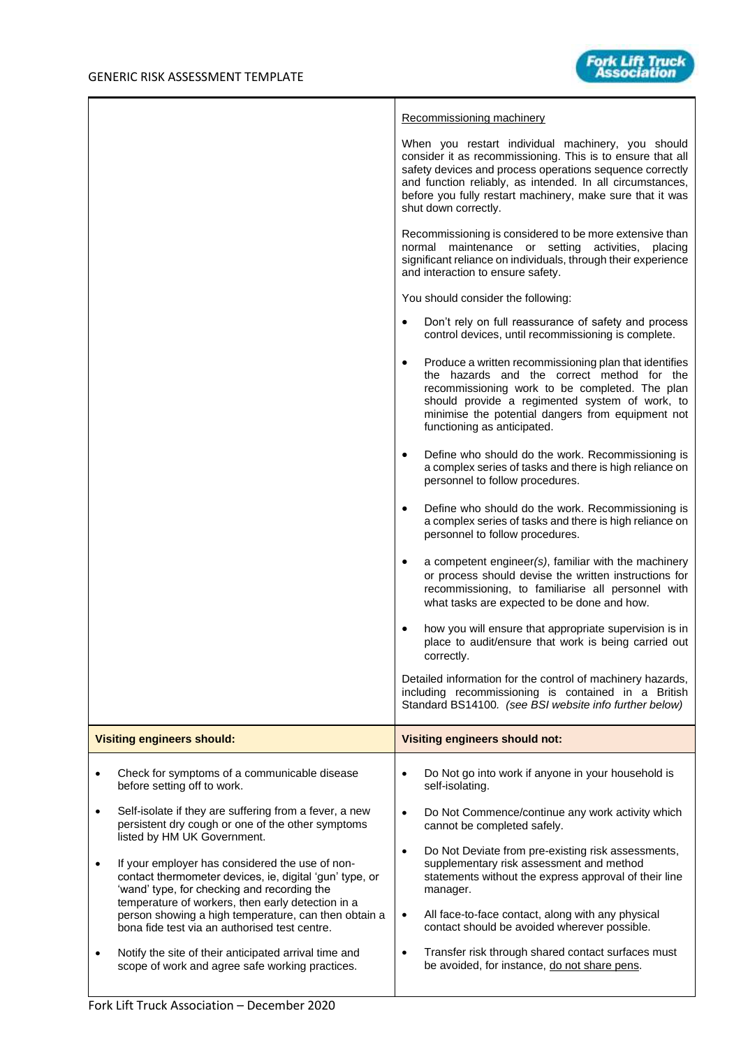|           |                                                                                                                                                                                                                |           | Recommissioning machinery                                                                                                                                                                                                                                                                                                     |
|-----------|----------------------------------------------------------------------------------------------------------------------------------------------------------------------------------------------------------------|-----------|-------------------------------------------------------------------------------------------------------------------------------------------------------------------------------------------------------------------------------------------------------------------------------------------------------------------------------|
|           |                                                                                                                                                                                                                |           | When you restart individual machinery, you should<br>consider it as recommissioning. This is to ensure that all<br>safety devices and process operations sequence correctly<br>and function reliably, as intended. In all circumstances,<br>before you fully restart machinery, make sure that it was<br>shut down correctly. |
|           |                                                                                                                                                                                                                |           | Recommissioning is considered to be more extensive than<br>normal maintenance or setting activities,<br>placing<br>significant reliance on individuals, through their experience<br>and interaction to ensure safety.                                                                                                         |
|           |                                                                                                                                                                                                                |           | You should consider the following:                                                                                                                                                                                                                                                                                            |
|           |                                                                                                                                                                                                                | $\bullet$ | Don't rely on full reassurance of safety and process<br>control devices, until recommissioning is complete.                                                                                                                                                                                                                   |
|           |                                                                                                                                                                                                                | $\bullet$ | Produce a written recommissioning plan that identifies<br>the hazards and the correct method for the<br>recommissioning work to be completed. The plan<br>should provide a regimented system of work, to<br>minimise the potential dangers from equipment not<br>functioning as anticipated.                                  |
|           |                                                                                                                                                                                                                | $\bullet$ | Define who should do the work. Recommissioning is<br>a complex series of tasks and there is high reliance on<br>personnel to follow procedures.                                                                                                                                                                               |
|           |                                                                                                                                                                                                                | $\bullet$ | Define who should do the work. Recommissioning is<br>a complex series of tasks and there is high reliance on<br>personnel to follow procedures.                                                                                                                                                                               |
|           |                                                                                                                                                                                                                | $\bullet$ | a competent engineer(s), familiar with the machinery<br>or process should devise the written instructions for<br>recommissioning, to familiarise all personnel with<br>what tasks are expected to be done and how.                                                                                                            |
|           |                                                                                                                                                                                                                | ٠         | how you will ensure that appropriate supervision is in<br>place to audit/ensure that work is being carried out<br>correctly.                                                                                                                                                                                                  |
|           |                                                                                                                                                                                                                |           | Detailed information for the control of machinery hazards,<br>including recommissioning is contained in a British<br>Standard BS14100. (see BSI website info further below)                                                                                                                                                   |
|           | <b>Visiting engineers should:</b>                                                                                                                                                                              |           | <b>Visiting engineers should not:</b>                                                                                                                                                                                                                                                                                         |
|           | Check for symptoms of a communicable disease<br>before setting off to work.                                                                                                                                    | $\bullet$ | Do Not go into work if anyone in your household is<br>self-isolating.                                                                                                                                                                                                                                                         |
| $\bullet$ | Self-isolate if they are suffering from a fever, a new<br>persistent dry cough or one of the other symptoms<br>listed by HM UK Government.                                                                     | $\bullet$ | Do Not Commence/continue any work activity which<br>cannot be completed safely.                                                                                                                                                                                                                                               |
|           | If your employer has considered the use of non-<br>contact thermometer devices, ie, digital 'gun' type, or<br>'wand' type, for checking and recording the<br>temperature of workers, then early detection in a | $\bullet$ | Do Not Deviate from pre-existing risk assessments,<br>supplementary risk assessment and method<br>statements without the express approval of their line<br>manager.                                                                                                                                                           |
|           | person showing a high temperature, can then obtain a<br>bona fide test via an authorised test centre.                                                                                                          | $\bullet$ | All face-to-face contact, along with any physical<br>contact should be avoided wherever possible.                                                                                                                                                                                                                             |
| ٠         | Notify the site of their anticipated arrival time and<br>scope of work and agree safe working practices.                                                                                                       | $\bullet$ | Transfer risk through shared contact surfaces must<br>be avoided, for instance, do not share pens.                                                                                                                                                                                                                            |
|           |                                                                                                                                                                                                                |           |                                                                                                                                                                                                                                                                                                                               |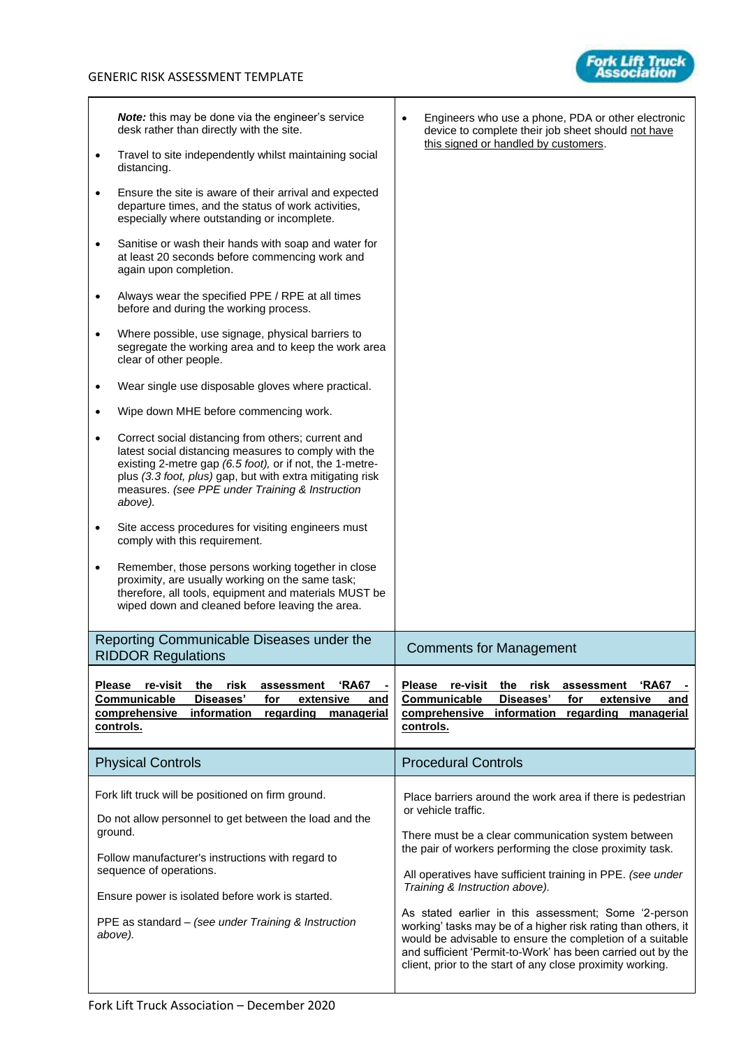

| $\bullet$                           | Note: this may be done via the engineer's service<br>desk rather than directly with the site.<br>Travel to site independently whilst maintaining social<br>distancing.<br>Ensure the site is aware of their arrival and expected<br>departure times, and the status of work activities,<br>especially where outstanding or incomplete.<br>Sanitise or wash their hands with soap and water for<br>at least 20 seconds before commencing work and<br>again upon completion.<br>Always wear the specified PPE / RPE at all times<br>before and during the working process.<br>Where possible, use signage, physical barriers to<br>segregate the working area and to keep the work area<br>clear of other people. | Engineers who use a phone, PDA or other electronic<br>device to complete their job sheet should not have<br>this signed or handled by customers.                                                                                                                                                                                                                                                                                                                                                                                                                                                                       |
|-------------------------------------|-----------------------------------------------------------------------------------------------------------------------------------------------------------------------------------------------------------------------------------------------------------------------------------------------------------------------------------------------------------------------------------------------------------------------------------------------------------------------------------------------------------------------------------------------------------------------------------------------------------------------------------------------------------------------------------------------------------------|------------------------------------------------------------------------------------------------------------------------------------------------------------------------------------------------------------------------------------------------------------------------------------------------------------------------------------------------------------------------------------------------------------------------------------------------------------------------------------------------------------------------------------------------------------------------------------------------------------------------|
| $\bullet$<br>$\bullet$<br>$\bullet$ | Wear single use disposable gloves where practical.<br>Wipe down MHE before commencing work.<br>Correct social distancing from others; current and<br>latest social distancing measures to comply with the<br>existing 2-metre gap (6.5 foot), or if not, the 1-metre-<br>plus (3.3 foot, plus) gap, but with extra mitigating risk<br>measures. (see PPE under Training & Instruction<br>above).<br>Site access procedures for visiting engineers must<br>comply with this requirement.<br>Remember, those persons working together in close<br>proximity, are usually working on the same task;<br>therefore, all tools, equipment and materials MUST be<br>wiped down and cleaned before leaving the area.    |                                                                                                                                                                                                                                                                                                                                                                                                                                                                                                                                                                                                                        |
|                                     | Reporting Communicable Diseases under the<br><b>RIDDOR Regulations</b><br><b>Please</b><br>re-visit<br>the<br>risk<br>'RA67<br>assessment<br>Communicable<br>Diseases'<br>extensive<br>for<br>and<br>comprehensive<br>information<br>regarding<br>managerial<br>controls.                                                                                                                                                                                                                                                                                                                                                                                                                                       | <b>Comments for Management</b><br><b>Please</b><br>re-visit<br>the<br>risk<br>'RA67<br>assessment<br>Communicable<br>Diseases'<br>for<br>extensive<br>and<br>comprehensive<br>information<br>regarding managerial<br>controls.                                                                                                                                                                                                                                                                                                                                                                                         |
|                                     | <b>Physical Controls</b>                                                                                                                                                                                                                                                                                                                                                                                                                                                                                                                                                                                                                                                                                        | <b>Procedural Controls</b>                                                                                                                                                                                                                                                                                                                                                                                                                                                                                                                                                                                             |
|                                     | Fork lift truck will be positioned on firm ground.<br>Do not allow personnel to get between the load and the<br>ground.<br>Follow manufacturer's instructions with regard to<br>sequence of operations.<br>Ensure power is isolated before work is started.<br>PPE as standard – (see under Training & Instruction<br>above).                                                                                                                                                                                                                                                                                                                                                                                   | Place barriers around the work area if there is pedestrian<br>or vehicle traffic.<br>There must be a clear communication system between<br>the pair of workers performing the close proximity task.<br>All operatives have sufficient training in PPE. (see under<br>Training & Instruction above).<br>As stated earlier in this assessment; Some '2-person<br>working' tasks may be of a higher risk rating than others, it<br>would be advisable to ensure the completion of a suitable<br>and sufficient 'Permit-to-Work' has been carried out by the<br>client, prior to the start of any close proximity working. |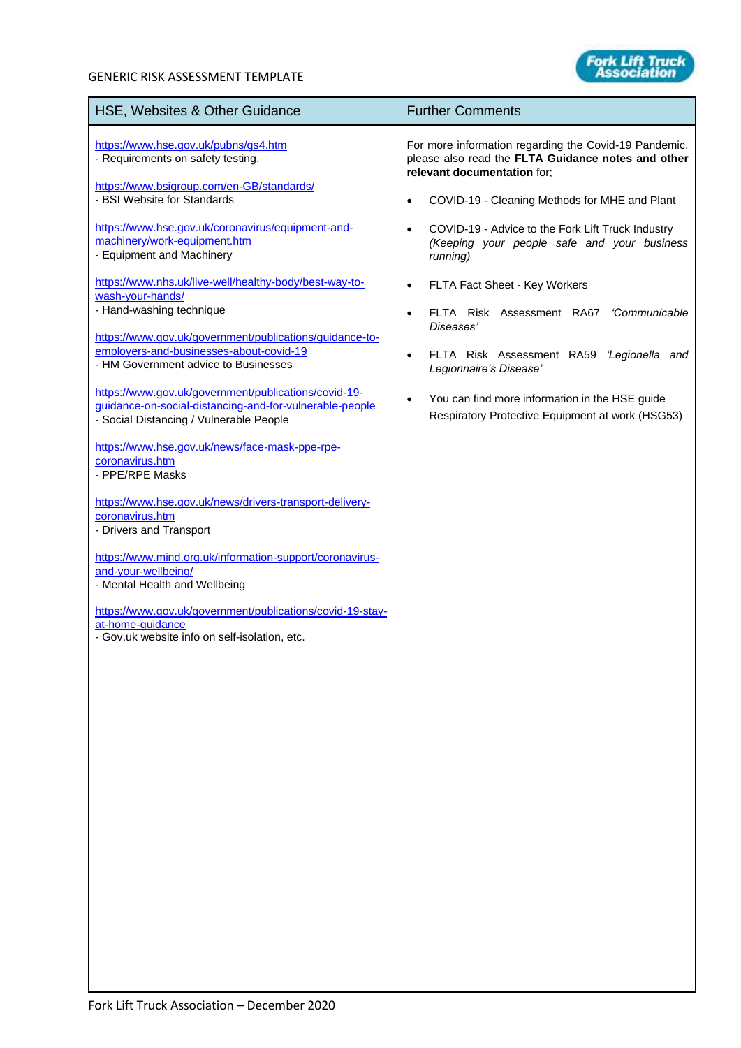## GENERIC RISK ASSESSMENT TEMPLATE

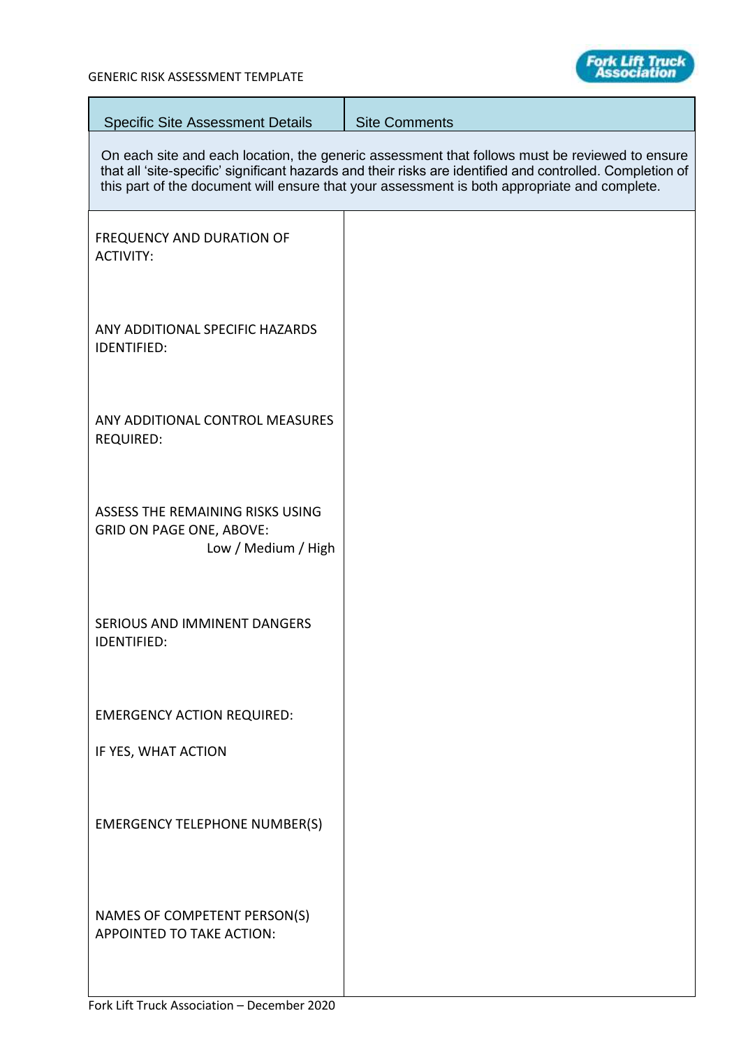**College** 



| <b>Specific Site Assessment Details</b>                                                    | <b>Site Comments</b>                                                                                                                                                                                                                                                                                        |
|--------------------------------------------------------------------------------------------|-------------------------------------------------------------------------------------------------------------------------------------------------------------------------------------------------------------------------------------------------------------------------------------------------------------|
|                                                                                            | On each site and each location, the generic assessment that follows must be reviewed to ensure<br>that all 'site-specific' significant hazards and their risks are identified and controlled. Completion of<br>this part of the document will ensure that your assessment is both appropriate and complete. |
| <b>FREQUENCY AND DURATION OF</b><br><b>ACTIVITY:</b>                                       |                                                                                                                                                                                                                                                                                                             |
| ANY ADDITIONAL SPECIFIC HAZARDS<br><b>IDENTIFIED:</b>                                      |                                                                                                                                                                                                                                                                                                             |
| ANY ADDITIONAL CONTROL MEASURES<br><b>REQUIRED:</b>                                        |                                                                                                                                                                                                                                                                                                             |
| ASSESS THE REMAINING RISKS USING<br><b>GRID ON PAGE ONE, ABOVE:</b><br>Low / Medium / High |                                                                                                                                                                                                                                                                                                             |
| <b>SERIOUS AND IMMINENT DANGERS</b><br><b>IDENTIFIED:</b>                                  |                                                                                                                                                                                                                                                                                                             |
| <b>EMERGENCY ACTION REQUIRED:</b>                                                          |                                                                                                                                                                                                                                                                                                             |
| IF YES, WHAT ACTION                                                                        |                                                                                                                                                                                                                                                                                                             |
| <b>EMERGENCY TELEPHONE NUMBER(S)</b>                                                       |                                                                                                                                                                                                                                                                                                             |
| NAMES OF COMPETENT PERSON(S)<br>APPOINTED TO TAKE ACTION:                                  |                                                                                                                                                                                                                                                                                                             |